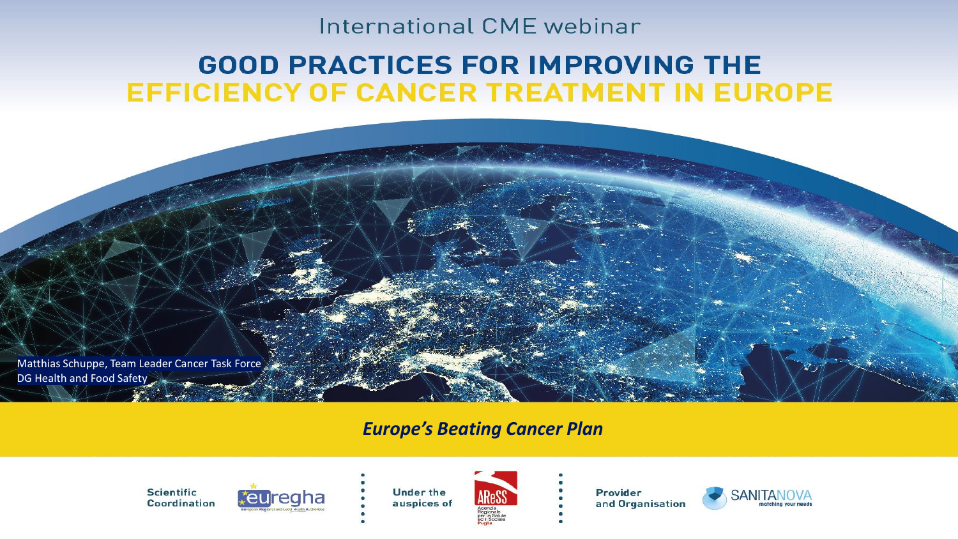#### International CME webinar

### **GOOD PRACTICES FOR IMPROVING THE EFFICIENCY OF CANCER TREATMENT IN EUROPE**



#### *Europe's Beating Cancer Plan*





**Under the** auspices of



Provider and Organisation

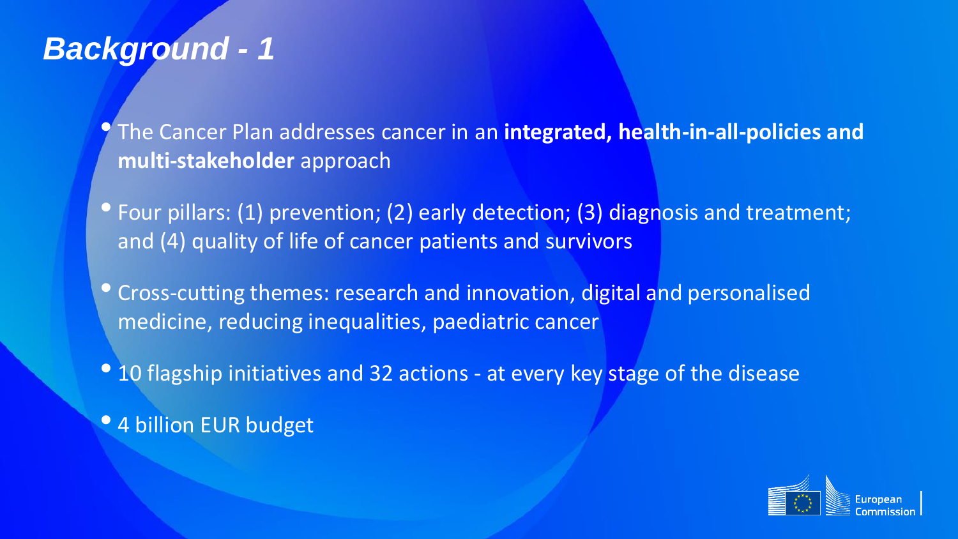# *Background - 1*

• The Cancer Plan addresses cancer in an **integrated, health-in-all-policies and multi-stakeholder** approach

- Four pillars: (1) prevention; (2) early detection; (3) diagnosis and treatment; and (4) quality of life of cancer patients and survivors
- Cross-cutting themes: research and innovation, digital and personalised medicine, reducing inequalities, paediatric cancer
- 10 flagship initiatives and 32 actions at every key stage of the disease
- 4 billion EUR budget

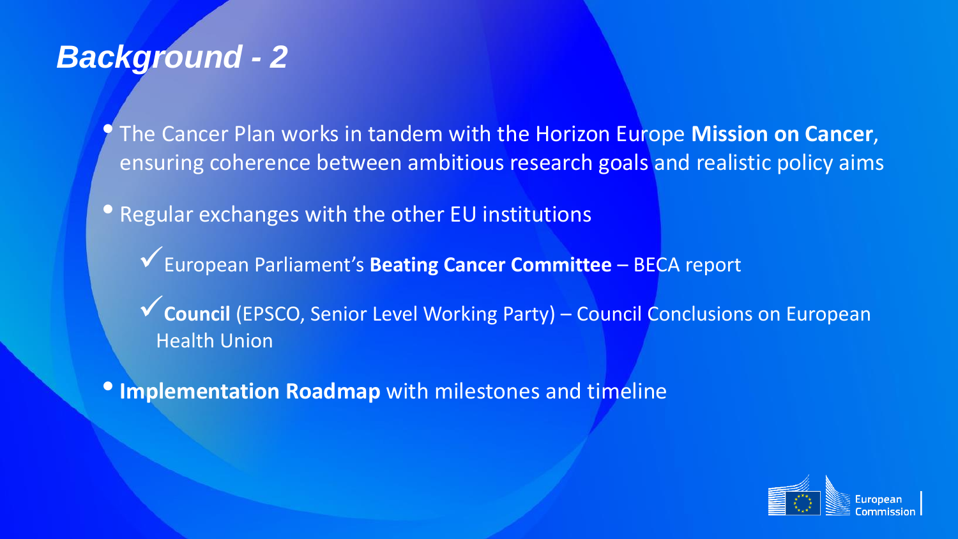# *Background - 2*

• The Cancer Plan works in tandem with the Horizon Europe **Mission on Cancer**, ensuring coherence between ambitious research goals and realistic policy aims

• Regular exchanges with the other EU institutions

✓European Parliament's **Beating Cancer Committee** – BECA report

✓**Council** (EPSCO, Senior Level Working Party) – Council Conclusions on European Health Union

**• Implementation Roadmap** with milestones and timeline

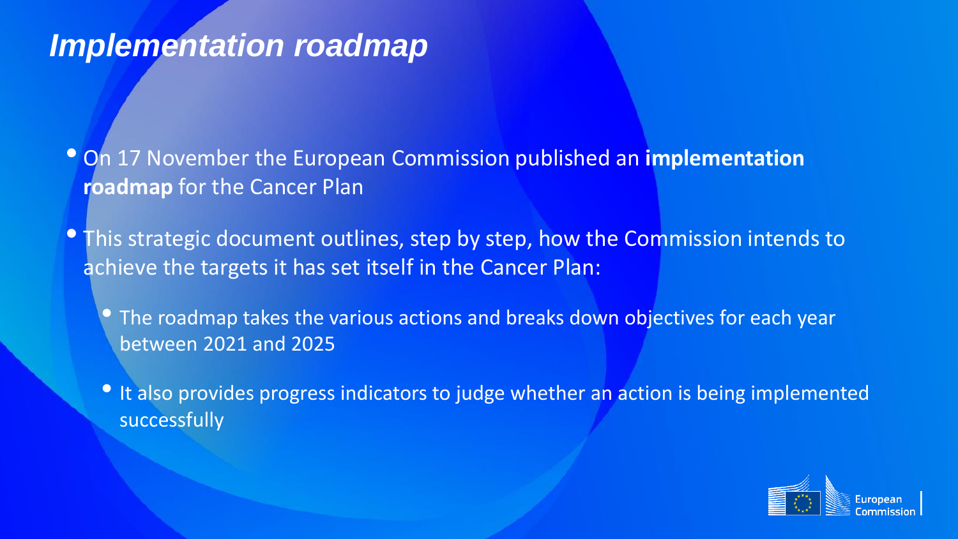## *Implementation roadmap*

• On 17 November the European Commission published an **implementation roadmap** for the Cancer Plan

**• This strategic document outlines, step by step, how the Commission intends to** achieve the targets it has set itself in the Cancer Plan:

• The roadmap takes the various actions and breaks down objectives for each year between 2021 and 2025

• It also provides progress indicators to judge whether an action is being implemented successfully

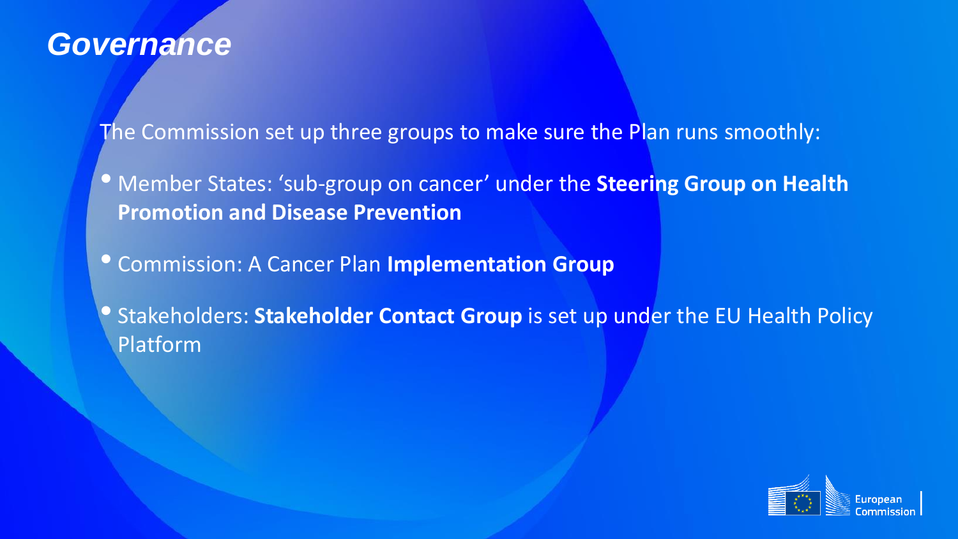### *Governance*

The Commission set up three groups to make sure the Plan runs smoothly:

• Member States: 'sub-group on cancer' under the **Steering Group on Health Promotion and Disease Prevention** 

• Commission: A Cancer Plan **Implementation Group**

• Stakeholders: **Stakeholder Contact Group** is set up under the EU Health Policy Platform

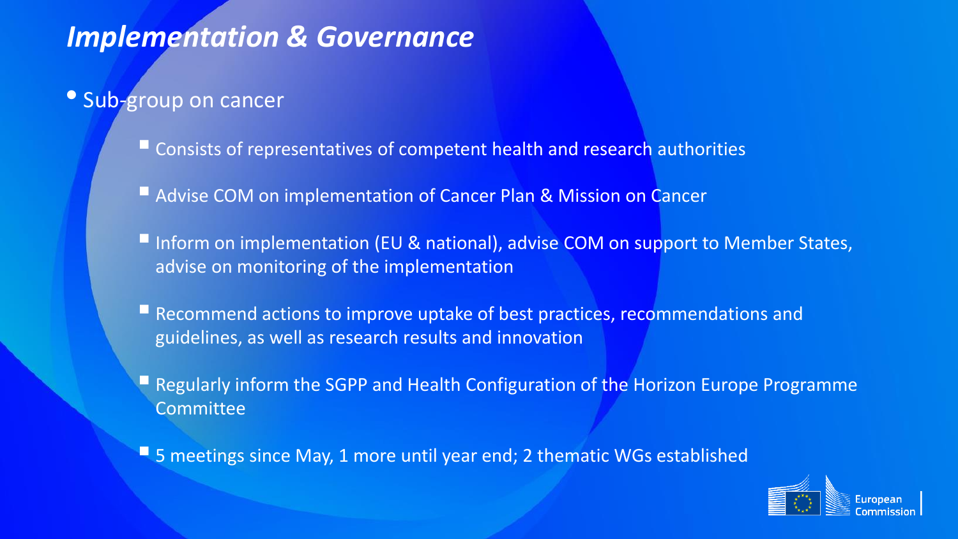## *Implementation & Governance*

### • Sub-group on cancer

- Consists of representatives of competent health and research authorities
- Advise COM on implementation of Cancer Plan & Mission on Cancer
- **Inform on implementation (EU & national), advise COM on support to Member States,** advise on monitoring of the implementation
- **E** Recommend actions to improve uptake of best practices, recommendations and guidelines, as well as research results and innovation
- **E** Regularly inform the SGPP and Health Configuration of the Horizon Europe Programme **Committee**
- 5 meetings since May, 1 more until year end; 2 thematic WGs established

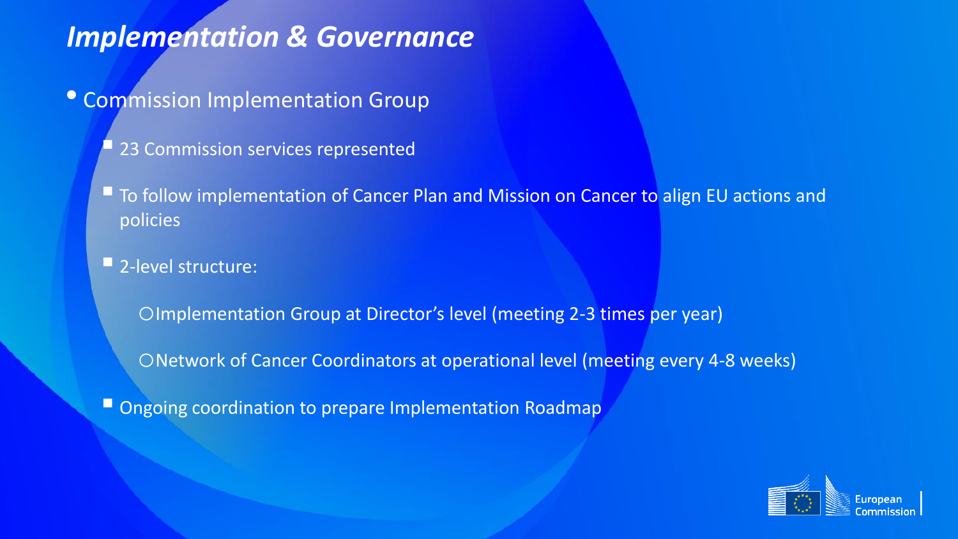## *Implementation & Governance*

- Commission Implementation Group
	- **23 Commission services represented**
	- To follow implementation of Cancer Plan and Mission on Cancer to align EU actions and policies
	- 2-level structure:

oImplementation Group at Director's level (meeting 2-3 times per year)

ONetwork of Cancer Coordinators at operational level (meeting every 4-8 weeks)

■ Ongoing coordination to prepare Implementation Roadmap

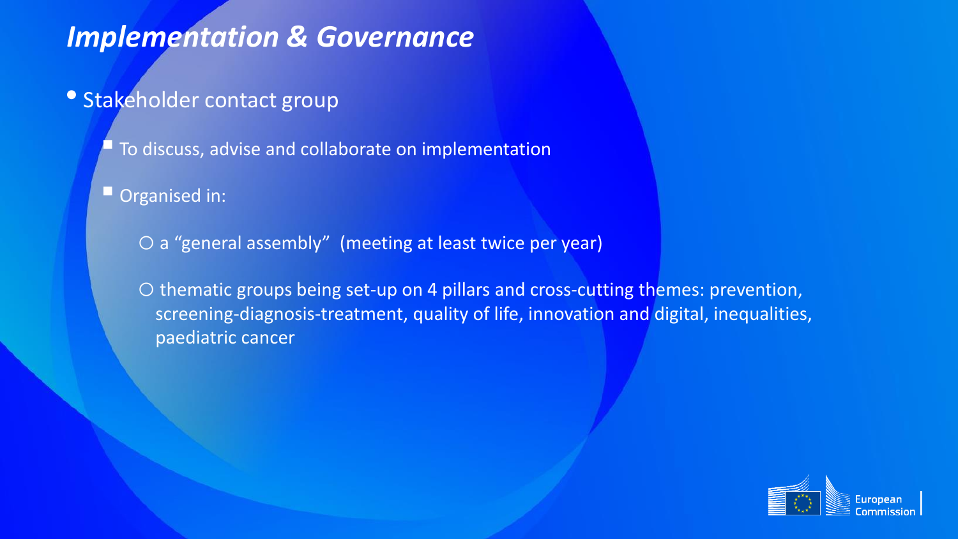## *Implementation & Governance*

#### • Stakeholder contact group

**The To discuss, advise and collaborate on implementation** 

**Organised in:** 

O a "general assembly" (meeting at least twice per year)

O thematic groups being set-up on 4 pillars and cross-cutting themes: prevention, screening-diagnosis-treatment, quality of life, innovation and digital, inequalities, paediatric cancer

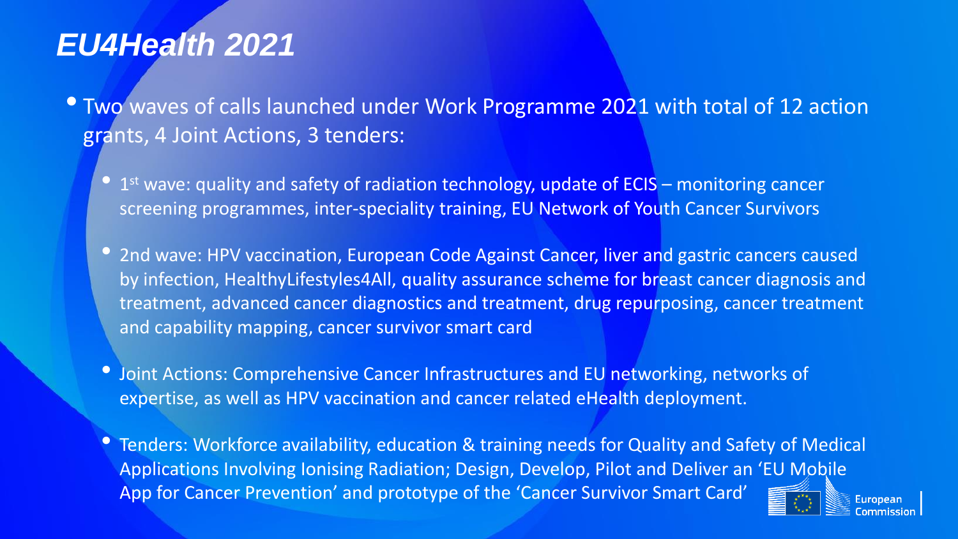# *EU4Health 2021*

- Two waves of calls launched under Work Programme 2021 with total of 12 action grants, 4 Joint Actions, 3 tenders:
	- 1<sup>st</sup> wave: quality and safety of radiation technology, update of ECIS monitoring cancer screening programmes, inter-speciality training, EU Network of Youth Cancer Survivors
	- 2nd wave: HPV vaccination, European Code Against Cancer, liver and gastric cancers caused by infection, HealthyLifestyles4All, quality assurance scheme for breast cancer diagnosis and treatment, advanced cancer diagnostics and treatment, drug repurposing, cancer treatment and capability mapping, cancer survivor smart card
	- Joint Actions: Comprehensive Cancer Infrastructures and EU networking, networks of expertise, as well as HPV vaccination and cancer related eHealth deployment.
	- Tenders: Workforce availability, education & training needs for Quality and Safety of Medical Applications Involving Ionising Radiation; Design, Develop, Pilot and Deliver an 'EU Mobile App for Cancer Prevention' and prototype of the 'Cancer Survivor Smart Card'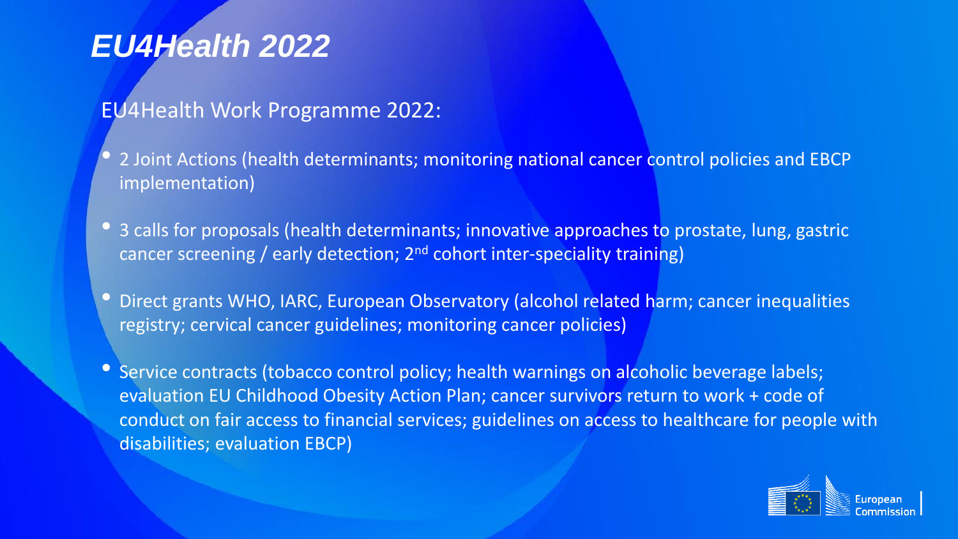# *EU4Health 2022*

#### EU4Health Work Programme 2022:

- 2 Joint Actions (health determinants; monitoring national cancer control policies and EBCP implementation)
- 3 calls for proposals (health determinants; innovative approaches to prostate, lung, gastric cancer screening / early detection; 2<sup>nd</sup> cohort inter-speciality training)
- Direct grants WHO, IARC, European Observatory (alcohol related harm; cancer inequalities registry; cervical cancer guidelines; monitoring cancer policies)
- Service contracts (tobacco control policy; health warnings on alcoholic beverage labels; evaluation EU Childhood Obesity Action Plan; cancer survivors return to work + code of conduct on fair access to financial services; guidelines on access to healthcare for people with disabilities; evaluation EBCP)